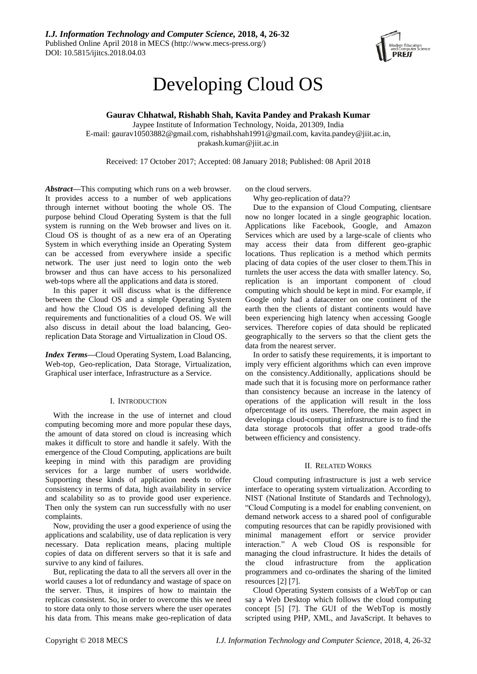

# Developing Cloud OS

**Gaurav Chhatwal, Rishabh Shah, Kavita Pandey and Prakash Kumar**

Jaypee Institute of Information Technology, Noida, 201309, India E-mail: gaurav10503882@gmail.com, rishabhshah1991@gmail.com, kavita.pandey@jiit.ac.in, prakash.kumar@jiit.ac.in

Received: 17 October 2017; Accepted: 08 January 2018; Published: 08 April 2018

*Abstract***—**This computing which runs on a web browser. It provides access to a number of web applications through internet without booting the whole OS. The purpose behind Cloud Operating System is that the full system is running on the Web browser and lives on it. Cloud OS is thought of as a new era of an Operating System in which everything inside an Operating System can be accessed from everywhere inside a specific network. The user just need to login onto the web browser and thus can have access to his personalized web-tops where all the applications and data is stored.

In this paper it will discuss what is the difference between the Cloud OS and a simple Operating System and how the Cloud OS is developed defining all the requirements and functionalities of a cloud OS. We will also discuss in detail about the load balancing, Georeplication Data Storage and Virtualization in Cloud OS.

*Index Terms***—**Cloud Operating System, Load Balancing, Web-top, Geo-replication, Data Storage, Virtualization, Graphical user interface, Infrastructure as a Service.

# I. INTRODUCTION

With the increase in the use of internet and cloud computing becoming more and more popular these days, the amount of data stored on cloud is increasing which makes it difficult to store and handle it safely. With the emergence of the Cloud Computing, applications are built keeping in mind with this paradigm are providing services for a large number of users worldwide. Supporting these kinds of application needs to offer consistency in terms of data, high availability in service and scalability so as to provide good user experience. Then only the system can run successfully with no user complaints.

Now, providing the user a good experience of using the applications and scalability, use of data replication is very necessary. Data replication means, placing multiple copies of data on different servers so that it is safe and survive to any kind of failures.

But, replicating the data to all the servers all over in the world causes a lot of redundancy and wastage of space on the server. Thus, it inspires of how to maintain the replicas consistent. So, in order to overcome this we need to store data only to those servers where the user operates his data from. This means make geo-replication of data

on the cloud servers.

Why geo-replication of data??

Due to the expansion of Cloud Computing, clientsare now no longer located in a single geographic location. Applications like Facebook, Google, and Amazon Services which are used by a large-scale of clients who may access their data from different geo-graphic locations. Thus replication is a method which permits placing of data copies of the user closer to them.This in turnlets the user access the data with smaller latency. So, replication is an important component of cloud computing which should be kept in mind. For example, if Google only had a datacenter on one continent of the earth then the clients of distant continents would have been experiencing high latency when accessing Google services. Therefore copies of data should be replicated geographically to the servers so that the client gets the data from the nearest server.

In order to satisfy these requirements, it is important to imply very efficient algorithms which can even improve on the consistency.Additionally, applications should be made such that it is focusing more on performance rather than consistency because an increase in the latency of operations of the application will result in the loss ofpercentage of its users. Therefore, the main aspect in developinga cloud-computing infrastructure is to find the data storage protocols that offer a good trade-offs between efficiency and consistency.

## II. RELATED WORKS

Cloud computing infrastructure is just a web service interface to operating system virtualization. According to NIST (National Institute of Standards and Technology), "Cloud Computing is a model for enabling convenient, on demand network access to a shared pool of configurable computing resources that can be rapidly provisioned with minimal management effort or service provider interaction." A web Cloud OS is responsible for managing the cloud infrastructure. It hides the details of the cloud infrastructure from the application programmers and co-ordinates the sharing of the limited resources [2] [7].

Cloud Operating System consists of a WebTop or can say a Web Desktop which follows the cloud computing concept [5] [7]. The GUI of the WebTop is mostly scripted using PHP, XML, and JavaScript. It behaves to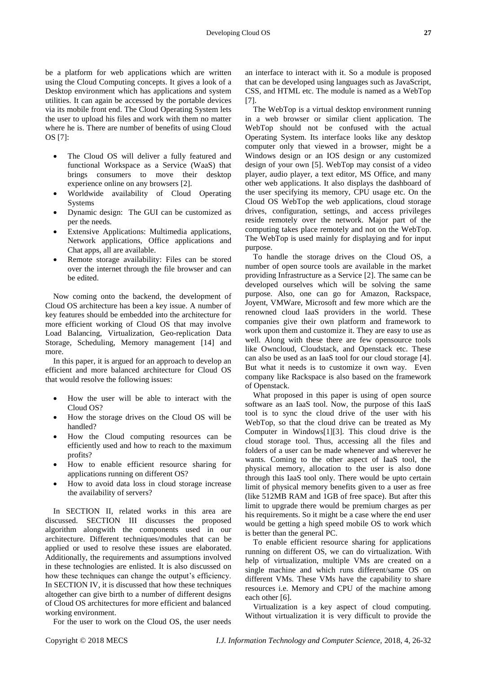be a platform for web applications which are written using the Cloud Computing concepts. It gives a look of a Desktop environment which has applications and system utilities. It can again be accessed by the portable devices via its mobile front end. The Cloud Operating System lets the user to upload his files and work with them no matter where he is. There are number of benefits of using Cloud OS [7]:

- The Cloud OS will deliver a fully featured and functional Workspace as a Service (WaaS) that brings consumers to move their desktop experience online on any browsers [2].
- Worldwide availability of Cloud Operating Systems
- Dynamic design: The GUI can be customized as per the needs.
- Extensive Applications: Multimedia applications, Network applications, Office applications and Chat apps, all are available.
- Remote storage availability: Files can be stored over the internet through the file browser and can be edited.

Now coming onto the backend, the development of Cloud OS architecture has been a key issue. A number of key features should be embedded into the architecture for more efficient working of Cloud OS that may involve Load Balancing, Virtualization, Geo-replication Data Storage, Scheduling, Memory management [14] and more.

In this paper, it is argued for an approach to develop an efficient and more balanced architecture for Cloud OS that would resolve the following issues:

- How the user will be able to interact with the Cloud OS?
- How the storage drives on the Cloud OS will be handled?
- How the Cloud computing resources can be efficiently used and how to reach to the maximum profits?
- How to enable efficient resource sharing for applications running on different OS?
- How to avoid data loss in cloud storage increase the availability of servers?

In SECTION II, related works in this area are discussed. SECTION III discusses the proposed algorithm alongwith the components used in our architecture. Different techniques/modules that can be applied or used to resolve these issues are elaborated. Additionally, the requirements and assumptions involved in these technologies are enlisted. It is also discussed on how these techniques can change the output's efficiency. In SECTION IV, it is discussed that how these techniques altogether can give birth to a number of different designs of Cloud OS architectures for more efficient and balanced working environment.

For the user to work on the Cloud OS, the user needs

an interface to interact with it. So a module is proposed that can be developed using languages such as JavaScript, CSS, and HTML etc. The module is named as a WebTop [7].

The WebTop is a virtual desktop environment running in a web browser or similar client application. The WebTop should not be confused with the actual Operating System. Its interface looks like any desktop computer only that viewed in a browser, might be a Windows design or an IOS design or any customized design of your own [5]. WebTop may consist of a video player, audio player, a text editor, MS Office, and many other web applications. It also displays the dashboard of the user specifying its memory, CPU usage etc. On the Cloud OS WebTop the web applications, cloud storage drives, configuration, settings, and access privileges reside remotely over the network. Major part of the computing takes place remotely and not on the WebTop. The WebTop is used mainly for displaying and for input purpose.

To handle the storage drives on the Cloud OS, a number of open source tools are available in the market providing Infrastructure as a Service [2]. The same can be developed ourselves which will be solving the same purpose. Also, one can go for Amazon, Rackspace, Joyent, VMWare, Microsoft and few more which are the renowned cloud IaaS providers in the world. These companies give their own platform and framework to work upon them and customize it. They are easy to use as well. Along with these there are few opensource tools like Owncloud, Cloudstack, and Openstack etc. These can also be used as an IaaS tool for our cloud storage [4]. But what it needs is to customize it own way. Even company like Rackspace is also based on the framework of Openstack.

What proposed in this paper is using of open source software as an IaaS tool. Now, the purpose of this IaaS tool is to sync the cloud drive of the user with his WebTop, so that the cloud drive can be treated as My Computer in Windows[1][3]. This cloud drive is the cloud storage tool. Thus, accessing all the files and folders of a user can be made whenever and wherever he wants. Coming to the other aspect of IaaS tool, the physical memory, allocation to the user is also done through this IaaS tool only. There would be upto certain limit of physical memory benefits given to a user as free (like 512MB RAM and 1GB of free space). But after this limit to upgrade there would be premium charges as per his requirements. So it might be a case where the end user would be getting a high speed mobile OS to work which is better than the general PC.

To enable efficient resource sharing for applications running on different OS, we can do virtualization. With help of virtualization, multiple VMs are created on a single machine and which runs different/same OS on different VMs. These VMs have the capability to share resources i.e. Memory and CPU of the machine among each other [6].

Virtualization is a key aspect of cloud computing. Without virtualization it is very difficult to provide the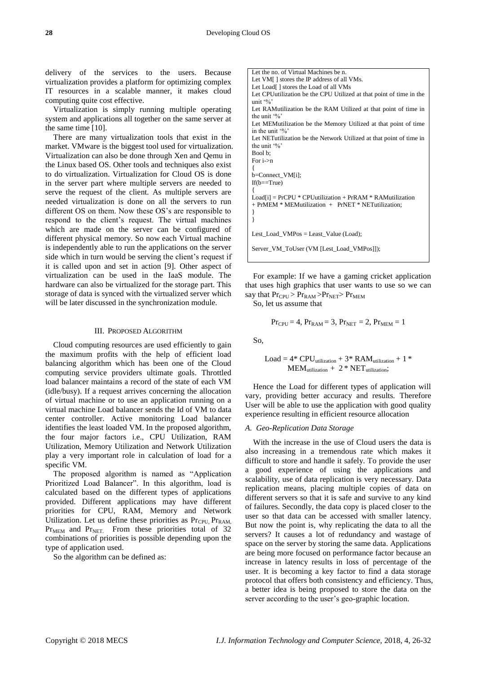delivery of the services to the users. Because virtualization provides a platform for optimizing complex IT resources in a scalable manner, it makes cloud computing quite cost effective.

Virtualization is simply running multiple operating system and applications all together on the same server at the same time [10].

There are many virtualization tools that exist in the market. VMware is the biggest tool used for virtualization. Virtualization can also be done through Xen and Qemu in the Linux based OS. Other tools and techniques also exist to do virtualization. Virtualization for Cloud OS is done in the server part where multiple servers are needed to serve the request of the client. As multiple servers are needed virtualization is done on all the servers to run different OS on them. Now these OS's are responsible to respond to the client's request. The virtual machines which are made on the server can be configured of different physical memory. So now each Virtual machine is independently able to run the applications on the server side which in turn would be serving the client's request if it is called upon and set in action [9]. Other aspect of virtualization can be used in the IaaS module. The hardware can also be virtualized for the storage part. This storage of data is synced with the virtualized server which will be later discussed in the synchronization module.

#### III. PROPOSED ALGORITHM

Cloud computing resources are used efficiently to gain the maximum profits with the help of efficient load balancing algorithm which has been one of the Cloud computing service providers ultimate goals. Throttled load balancer maintains a record of the state of each VM (idle/busy). If a request arrives concerning the allocation of virtual machine or to use an application running on a virtual machine Load balancer sends the Id of VM to data center controller. Active monitoring Load balancer identifies the least loaded VM. In the proposed algorithm, the four major factors i.e., CPU Utilization, RAM Utilization, Memory Utilization and Network Utilization play a very important role in calculation of load for a specific VM.

The proposed algorithm is named as "Application Prioritized Load Balancer". In this algorithm, load is calculated based on the different types of applications provided. Different applications may have different priorities for CPU, RAM, Memory and Network Utilization. Let us define these priorities as  $Pr_{CPU} Pr_{RAM}$ ,  $Pr<sub>MEM</sub>$  and  $Pr<sub>NET</sub>$ . From these priorities total of 32 combinations of priorities is possible depending upon the type of application used.

So the algorithm can be defined as:

Let the no. of Virtual Machines be n. Let VM[ ] stores the IP address of all VMs. Let Load[ ] stores the Load of all VMs Let CPUutilization be the CPU Utilized at that point of time in the unit '%' Let RAMutilization be the RAM Utilized at that point of time in the unit '%' Let MEMutilization be the Memory Utilized at that point of time in the unit '% Let NETutilization be the Network Utilized at that point of time in the unit '%' Bool b; For i->n { b=Connect\_VM[i];  $If(b == True)$ {  $Load[i] = PrCPU * CPU utilization + PrRAM * RAM utilization$ + PrMEM \* MEMutilization + PrNET \* NETutilization; } } Lest\_Load\_VMPos = Least\_Value (Load);

Server\_VM\_ToUser (VM [Lest\_Load\_VMPos]]);

For example: If we have a gaming cricket application that uses high graphics that user wants to use so we can say that  $Pr_{CPU} > Pr_{RAM} > Pr_{NET} > Pr_{MEM}$ 

So, let us assume that

$$
Pr_{CPU} = 4, Pr_{RAM} = 3, Pr_{NET} = 2, Pr_{MEM} = 1
$$

So,

$$
Load = 4 * CPU_{utilization} + 3 * RAM_{utilization} + 1 * MEM_{utilization} + 2 * NET_{utilization};
$$

Hence the Load for different types of application will vary, providing better accuracy and results. Therefore User will be able to use the application with good quality experience resulting in efficient resource allocation

#### *A. Geo-Replication Data Storage*

With the increase in the use of Cloud users the data is also increasing in a tremendous rate which makes it difficult to store and handle it safely. To provide the user a good experience of using the applications and scalability, use of data replication is very necessary. Data replication means, placing multiple copies of data on different servers so that it is safe and survive to any kind of failures. Secondly, the data copy is placed closer to the user so that data can be accessed with smaller latency. But now the point is, why replicating the data to all the servers? It causes a lot of redundancy and wastage of space on the server by storing the same data. Applications are being more focused on performance factor because an increase in latency results in loss of percentage of the user. It is becoming a key factor to find a data storage protocol that offers both consistency and efficiency. Thus, a better idea is being proposed to store the data on the server according to the user's geo-graphic location.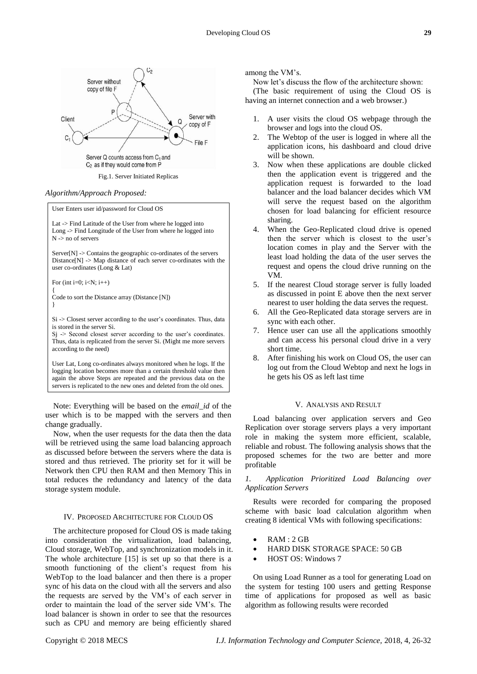

Fig.1. Server Initiated Replicas

# *Algorithm/Approach Proposed:*

User Enters user id/password for Cloud OS

Lat -> Find Latitude of the User from where he logged into Long -> Find Longitude of the User from where he logged into N -> no of servers

 $Server[N] \geq$  Contains the geographic co-ordinates of the servers Distance $[N] \rightarrow Map$  distance of each server co-ordinates with the user co-ordinates (Long & Lat)

For (int i=0;  $i < N$ ;  $i++$ )

{

Code to sort the Distance array (Distance [N]) }

Si -> Closest server according to the user's coordinates. Thus, data is stored in the server Si.

 $Sj$   $\geq$  Second closest server according to the user's coordinates. Thus, data is replicated from the server Si. (Might me more servers according to the need)

User Lat, Long co-ordinates always monitored when he logs. If the logging location becomes more than a certain threshold value then again the above Steps are repeated and the previous data on the servers is replicated to the new ones and deleted from the old ones.

Note: Everything will be based on the *email\_id* of the user which is to be mapped with the servers and then change gradually.

Now, when the user requests for the data then the data will be retrieved using the same load balancing approach as discussed before between the servers where the data is stored and thus retrieved. The priority set for it will be Network then CPU then RAM and then Memory This in total reduces the redundancy and latency of the data storage system module.

# IV. PROPOSED ARCHITECTURE FOR CLOUD OS

The architecture proposed for Cloud OS is made taking into consideration the virtualization, load balancing, Cloud storage, WebTop, and synchronization models in it. The whole architecture [15] is set up so that there is a smooth functioning of the client's request from his WebTop to the load balancer and then there is a proper sync of his data on the cloud with all the servers and also the requests are served by the VM's of each server in order to maintain the load of the server side VM's. The load balancer is shown in order to see that the resources such as CPU and memory are being efficiently shared

among the VM's.

Now let's discuss the flow of the architecture shown:

(The basic requirement of using the Cloud OS is having an internet connection and a web browser.)

- 1. A user visits the cloud OS webpage through the browser and logs into the cloud OS.
- 2. The Webtop of the user is logged in where all the application icons, his dashboard and cloud drive will be shown.
- 3. Now when these applications are double clicked then the application event is triggered and the application request is forwarded to the load balancer and the load balancer decides which VM will serve the request based on the algorithm chosen for load balancing for efficient resource sharing.
- 4. When the Geo-Replicated cloud drive is opened then the server which is closest to the user's location comes in play and the Server with the least load holding the data of the user serves the request and opens the cloud drive running on the VM.
- 5. If the nearest Cloud storage server is fully loaded as discussed in point E above then the next server nearest to user holding the data serves the request.
- 6. All the Geo-Replicated data storage servers are in sync with each other.
- 7. Hence user can use all the applications smoothly and can access his personal cloud drive in a very short time.
- 8. After finishing his work on Cloud OS, the user can log out from the Cloud Webtop and next he logs in he gets his OS as left last time

# V. ANALYSIS AND RESULT

Load balancing over application servers and Geo Replication over storage servers plays a very important role in making the system more efficient, scalable, reliable and robust. The following analysis shows that the proposed schemes for the two are better and more profitable

*1. Application Prioritized Load Balancing over Application Servers*

Results were recorded for comparing the proposed scheme with basic load calculation algorithm when creating 8 identical VMs with following specifications:

- RAM : 2 GB
- HARD DISK STORAGE SPACE: 50 GB
- HOST OS: Windows 7

On using Load Runner as a tool for generating Load on the system for testing 100 users and getting Response time of applications for proposed as well as basic algorithm as following results were recorded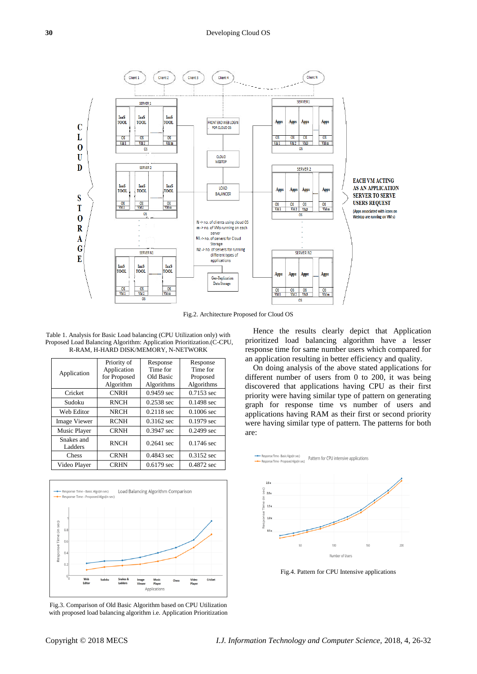

Fig.2. Architecture Proposed for Cloud OS

Table 1. Analysis for Basic Load balancing (CPU Utilization only) with Proposed Load Balancing Algorithm: Application Prioritization.(C-CPU, R-RAM, H-HARD DISK/MEMORY, N-NETWORK

| Application         | Priority of  | Response             | Response     |
|---------------------|--------------|----------------------|--------------|
|                     | Application  | Time for             | Time for     |
|                     | for Proposed | Old Basic            | Proposed     |
|                     | Algorithm    | Algorithms           | Algorithms   |
| Cricket             | <b>CNRH</b>  | 0.9459 sec           | 0.7153 sec   |
| Sudoku              | <b>RNCH</b>  | 0.2538 sec           | 0.1498 sec   |
| Web Editor          | <b>NRCH</b>  | 0.2118 sec           | $0.1006$ sec |
| <b>Image Viewer</b> | <b>RCNH</b>  | 0.3162 sec           | 0.1979 sec   |
| Music Player        | <b>CRNH</b>  | 0.3947 sec           | 0.2499 sec   |
| Snakes and          | <b>RNCH</b>  | $0.2641$ sec         | 0.1746 sec   |
| Ladders             |              |                      |              |
| Chess               | <b>CRNH</b>  | $0.4843 \text{ sec}$ | 0.3152 sec   |
| Video Player        | <b>CRHN</b>  | $0.6179$ sec         | 0.4872 sec   |



Fig.3. Comparison of Old Basic Algorithm based on CPU Utilization with proposed load balancing algorithm i.e. Application Prioritization

Hence the results clearly depict that Application prioritized load balancing algorithm have a lesser response time for same number users which compared for an application resulting in better efficiency and quality.

On doing analysis of the above stated applications for different number of users from 0 to 200, it was being discovered that applications having CPU as their first priority were having similar type of pattern on generating graph for response time vs number of users and applications having RAM as their first or second priority were having similar type of pattern. The patterns for both are:



nse Time - Basic Algo(in se

Fig.4. Pattern for CPU Intensive applications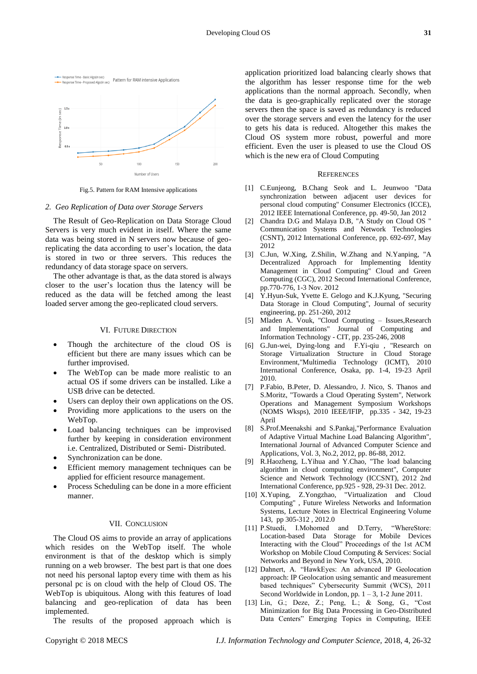

Fig.5. Pattern for RAM Intensive applications

# *2. Geo Replication of Data over Storage Servers*

The Result of Geo-Replication on Data Storage Cloud Servers is very much evident in itself. Where the same data was being stored in N servers now because of georeplicating the data according to user's location, the data is stored in two or three servers. This reduces the redundancy of data storage space on servers.

The other advantage is that, as the data stored is always closer to the user's location thus the latency will be reduced as the data will be fetched among the least loaded server among the geo-replicated cloud servers.

# VI. FUTURE DIRECTION

- Though the architecture of the cloud OS is efficient but there are many issues which can be further improvised.
- The WebTop can be made more realistic to an actual OS if some drivers can be installed. Like a USB drive can be detected.
- Users can deploy their own applications on the OS.
- Providing more applications to the users on the WebTop.
- Load balancing techniques can be improvised further by keeping in consideration environment i.e. Centralized, Distributed or Semi- Distributed.
- Synchronization can be done.
- Efficient memory management techniques can be applied for efficient resource management.
- Process Scheduling can be done in a more efficient manner.

# VII. CONCLUSION

The Cloud OS aims to provide an array of applications which resides on the WebTop itself. The whole environment is that of the desktop which is simply running on a web browser. The best part is that one does not need his personal laptop every time with them as his personal pc is on cloud with the help of Cloud OS. The WebTop is ubiquitous. Along with this features of load balancing and geo-replication of data has been implemented.

The results of the proposed approach which is

application prioritized load balancing clearly shows that the algorithm has lesser response time for the web applications than the normal approach. Secondly, when the data is geo-graphically replicated over the storage servers then the space is saved as redundancy is reduced over the storage servers and even the latency for the user to gets his data is reduced. Altogether this makes the Cloud OS system more robust, powerful and more efficient. Even the user is pleased to use the Cloud OS which is the new era of Cloud Computing

### **REFERENCES**

- [1] C.Eunjeong, B.Chang Seok and L. Jeunwoo "Data synchronization between adjacent user devices for personal cloud computing" Consumer Electronics (ICCE), 2012 IEEE International Conference, pp. 49-50, Jan 2012
- [2] Chandra D.G and Malaya D.B, "A Study on Cloud OS " Communication Systems and Network Technologies (CSNT), 2012 International Conference, pp. 692-697, May 2012
- [3] C.Jun, W.Xing, Z.Shilin, W.Zhang and N.Yanping, "A Decentralized Approach for Implementing Identity Management in Cloud Computing" Cloud and Green Computing (CGC), 2012 Second International Conference, pp.770-776, 1-3 Nov. 2012
- [4] Y.Hyun-Suk, Yvette E. Gelogo and K.J.Kyung, "Securing Data Storage in Cloud Computing", Journal of security engineering, pp. 251-260, 2012
- [5] Mladen A. Vouk, "Cloud Computing Issues,Research and Implementations" Journal of Computing and Information Technology - CIT, pp. 235-246, 2008
- [6] G.Jun-wei, Dying-long and F.Yi-qiu , "Research on Storage Virtualization Structure in Cloud Storage Environment,"Multimedia Technology (ICMT), 2010 International Conference, Osaka, pp. 1-4, 19-23 April 2010.
- [7] P.Fabio, B.Peter, D. Alessandro, J. Nico, S. Thanos and S.Moritz, "Towards a Cloud Operating System", Network Operations and Management Symposium Workshops (NOMS Wksps), 2010 IEEE/IFIP, pp.335 - 342, 19-23 April
- [8] S.Prof.Meenakshi and S.Pankaj,"Performance Evaluation of Adaptive Virtual Machine Load Balancing Algorithm", International Journal of Advanced Computer Science and Applications, Vol. 3, No.2, 2012, pp. 86-88, 2012.
- [9] R.Haozheng, L.Yihua and Y.Chao, "The load balancing algorithm in cloud computing environment", Computer Science and Network Technology (ICCSNT), 2012 2nd International Conference, pp.925 - 928, 29-31 Dec. 2012.
- [10] X.Yuping, Z.Yongzhao, "Virtualization and Cloud Computing" , Future Wireless Networks and Information Systems, Lecture Notes in Electrical Engineering Volume 143, pp 305-312 , 2012.0
- [11] P.Stuedi, I.Mohomed and D.Terry, "WhereStore: Location-based Data Storage for Mobile Devices Interacting with the Cloud" Proceedings of the 1st ACM Workshop on Mobile Cloud Computing & Services: Social Networks and Beyond in New York, USA, 2010.
- [12] Dahnert, A. "HawkEyes: An advanced IP Geolocation approach: IP Geolocation using semantic and measurement based techniques" Cybersecurity Summit (WCS), 2011 Second Worldwide in London, pp.  $1 - 3$ , 1-2 June 2011.
- [13] Lin, G.; Deze, Z.; Peng, L.; & Song, G., "Cost Minimization for Big Data Processing in Geo-Distributed Data Centers" Emerging Topics in Computing, IEEE